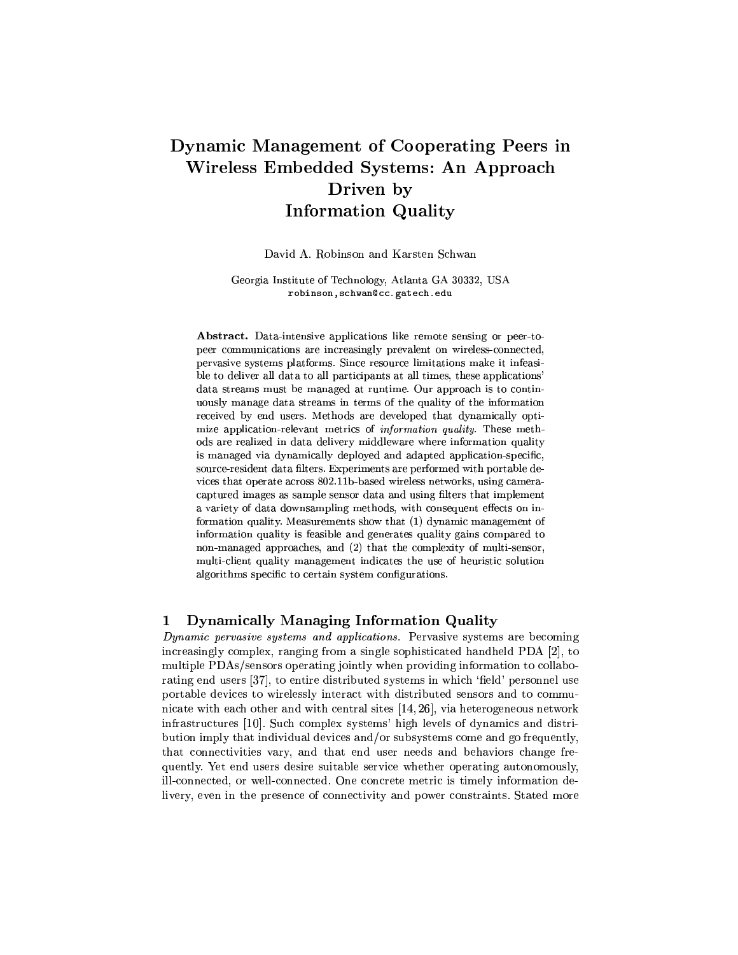# Dynamic Management of Cooperating Peers in Wireless Embedded Systems: An Approach Driven by **Information Quality**

David A. Robinson and Karsten Schwan

Georgia Institute of Technology, Atlanta GA 30332, USA robinson, schwan@cc.gatech.edu

Abstract. Data-intensive applications like remote sensing or peer-topeer communications are increasingly prevalent on wireless-connected, pervasive systems platforms. Since resource limitations make it infeasible to deliver all data to all participants at all times, these applications' data streams must be managed at runtime. Our approach is to continuously manage data streams in terms of the quality of the information received by end users. Methods are developed that dynamically optimize application-relevant metrics of *information quality*. These methods are realized in data delivery middleware where information quality is managed via dynamically deployed and adapted application-specific, source-resident data filters. Experiments are performed with portable devices that operate across 802.11b-based wireless networks, using cameracaptured images as sample sensor data and using filters that implement a variety of data downsampling methods, with consequent effects on information quality. Measurements show that (1) dynamic management of information quality is feasible and generates quality gains compared to non-managed approaches, and (2) that the complexity of multi-sensor, multi-client quality management indicates the use of heuristic solution algorithms specific to certain system configurations.

#### Dynamically Managing Information Quality  $\mathbf{1}$

Dynamic pervasive systems and applications. Pervasive systems are becoming increasingly complex, ranging from a single sophisticated handheld PDA [2], to multiple PDAs/sensors operating jointly when providing information to collaborating end users [37], to entire distributed systems in which 'field' personnel use portable devices to wirelessly interact with distributed sensors and to communicate with each other and with central sites  $[14, 26]$ , via heterogeneous network infrastructures [10]. Such complex systems' high levels of dynamics and distribution imply that individual devices and/or subsystems come and go frequently, that connectivities vary, and that end user needs and behaviors change frequently. Yet end users desire suitable service whether operating autonomously, ill-connected, or well-connected. One concrete metric is timely information delivery, even in the presence of connectivity and power constraints. Stated more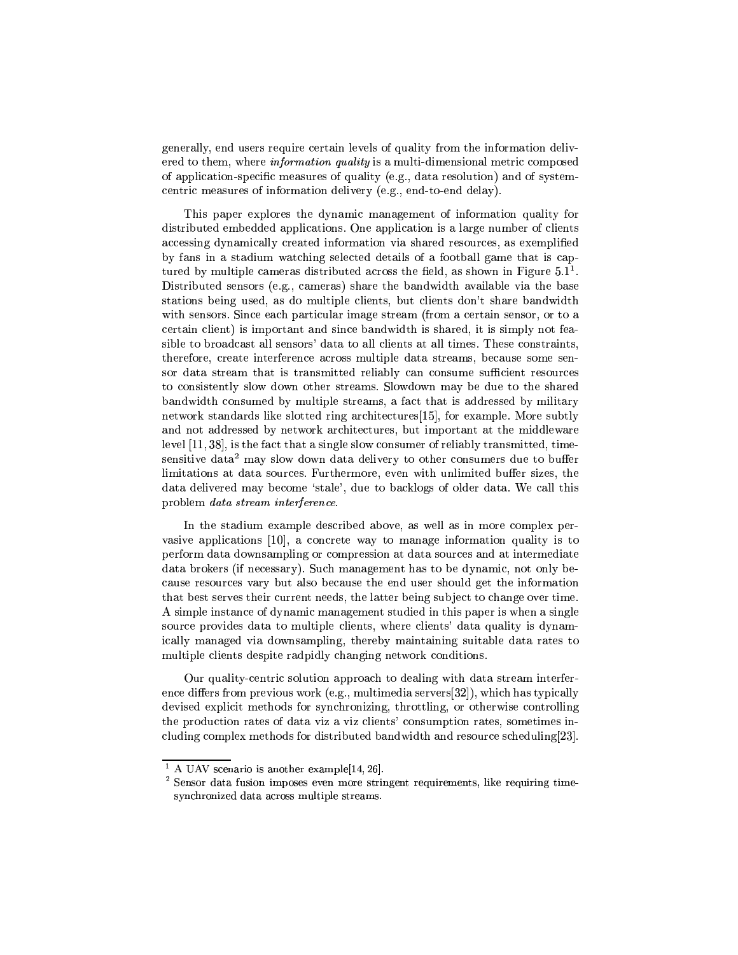generally, end users require certain levels of quality from the information delivered to them, where *information quality* is a multi-dimensional metric composed of application-specific measures of quality (e.g., data resolution) and of systemcentric measures of information delivery (e.g., end-to-end delay).

This paper explores the dynamic management of information quality for distributed embedded applications. One application is a large number of clients accessing dynamically created information via shared resources, as exemplified by fans in a stadium watching selected details of a football game that is captured by multiple cameras distributed across the field, as shown in Figure  $5.1<sup>1</sup>$ . Distributed sensors (e.g., cameras) share the bandwidth available via the base stations being used, as do multiple clients, but clients don't share bandwidth with sensors. Since each particular image stream (from a certain sensor, or to a certain client) is important and since bandwidth is shared, it is simply not feasible to broadcast all sensors' data to all clients at all times. These constraints, therefore, create interference across multiple data streams, because some sensor data stream that is transmitted reliably can consume sufficient resources to consistently slow down other streams. Slowdown may be due to the shared bandwidth consumed by multiple streams, a fact that is addressed by military network standards like slotted ring architectures [15], for example. More subtly and not addressed by network architectures, but important at the middleware level [11, 38], is the fact that a single slow consumer of reliably transmitted, timesensitive data<sup>2</sup> may slow down data delivery to other consumers due to buffer limitations at data sources. Furthermore, even with unlimited buffer sizes, the data delivered may become 'stale', due to backlogs of older data. We call this problem data stream interference.

In the stadium example described above, as well as in more complex pervasive applications [10], a concrete way to manage information quality is to perform data downsampling or compression at data sources and at intermediate data brokers (if necessary). Such management has to be dynamic, not only because resources vary but also because the end user should get the information that best serves their current needs, the latter being subject to change over time. A simple instance of dynamic management studied in this paper is when a single source provides data to multiple clients, where clients' data quality is dynamically managed via downsampling, thereby maintaining suitable data rates to multiple clients despite radpidly changing network conditions.

Our quality-centric solution approach to dealing with data stream interference differs from previous work (e.g., multimedia servers  $[32]$ ), which has typically devised explicit methods for synchronizing, throttling, or otherwise controlling the production rates of data viz a viz clients' consumption rates, sometimes including complex methods for distributed bandwidth and resource scheduling[23].

<sup>&</sup>lt;sup>1</sup> A UAV scenario is another example[14, 26].

 $2$  Sensor data fusion imposes even more stringent requirements, like requiring timesynchronized data across multiple streams.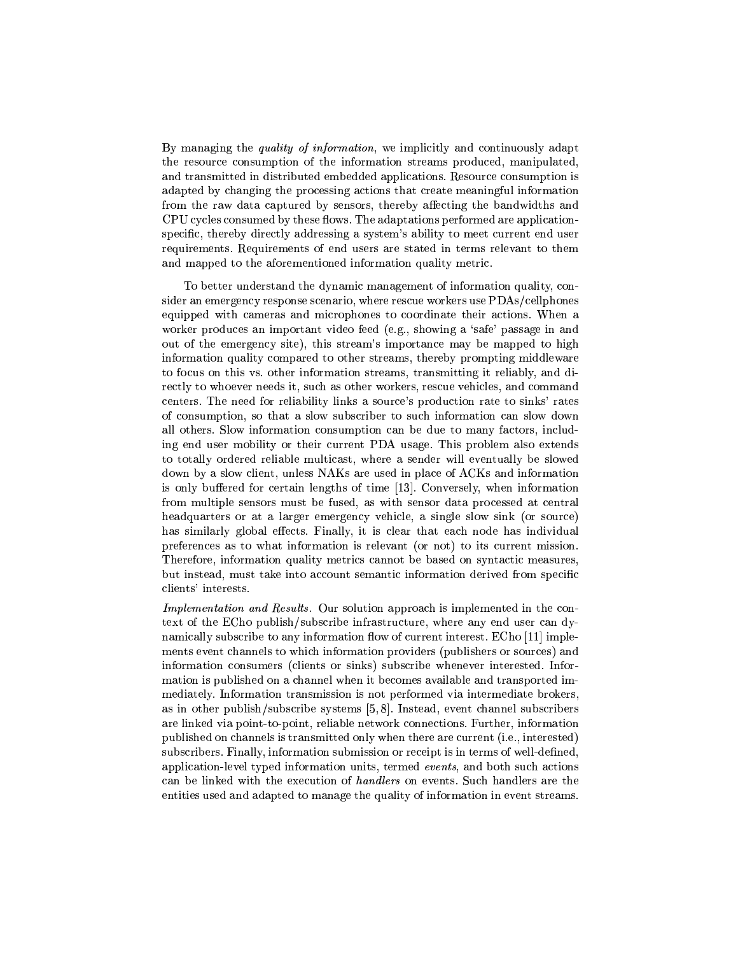By managing the *quality of information*, we implicitly and continuously adapt the resource consumption of the information streams produced, manipulated. and transmitted in distributed embedded applications. Resource consumption is adapted by changing the processing actions that create meaningful information from the raw data captured by sensors, thereby affecting the bandwidths and CPU cycles consumed by these flows. The adaptations performed are applicationspecific, thereby directly addressing a system's ability to meet current end user requirements. Requirements of end users are stated in terms relevant to them and mapped to the aforementioned information quality metric.

To better understand the dynamic management of information quality, consider an emergency response scenario, where rescue workers use PDAs/cellphones equipped with cameras and microphones to coordinate their actions. When a worker produces an important video feed (e.g., showing a 'safe' passage in and out of the emergency site), this stream's importance may be mapped to high information quality compared to other streams, thereby prompting middleware to focus on this vs. other information streams, transmitting it reliably, and directly to whoever needs it, such as other workers, rescue vehicles, and command centers. The need for reliability links a source's production rate to sinks' rates of consumption, so that a slow subscriber to such information can slow down all others. Slow information consumption can be due to many factors, including end user mobility or their current PDA usage. This problem also extends to totally ordered reliable multicast, where a sender will eventually be slowed down by a slow client, unless NAKs are used in place of ACKs and information is only buffered for certain lengths of time [13]. Conversely, when information from multiple sensors must be fused, as with sensor data processed at central headquarters or at a larger emergency vehicle, a single slow sink (or source) has similarly global effects. Finally, it is clear that each node has individual preferences as to what information is relevant (or not) to its current mission. Therefore, information quality metrics cannot be based on syntactic measures. but instead, must take into account semantic information derived from specific clients' interests.

*Implementation and Results.* Our solution approach is implemented in the context of the ECho publish/subscribe infrastructure, where any end user can dynamically subscribe to any information flow of current interest. ECho [11] implements event channels to which information providers (publishers or sources) and information consumers (clients or sinks) subscribe whenever interested. Information is published on a channel when it becomes available and transported immediately. Information transmission is not performed via intermediate brokers, as in other publish/subscribe systems  $[5, 8]$ . Instead, event channel subscribers are linked via point-to-point, reliable network connections. Further, information published on channels is transmitted only when there are current (i.e., interested) subscribers. Finally, information submission or receipt is in terms of well-defined, application-level typed information units, termed events, and both such actions can be linked with the execution of *handlers* on events. Such handlers are the entities used and adapted to manage the quality of information in event streams.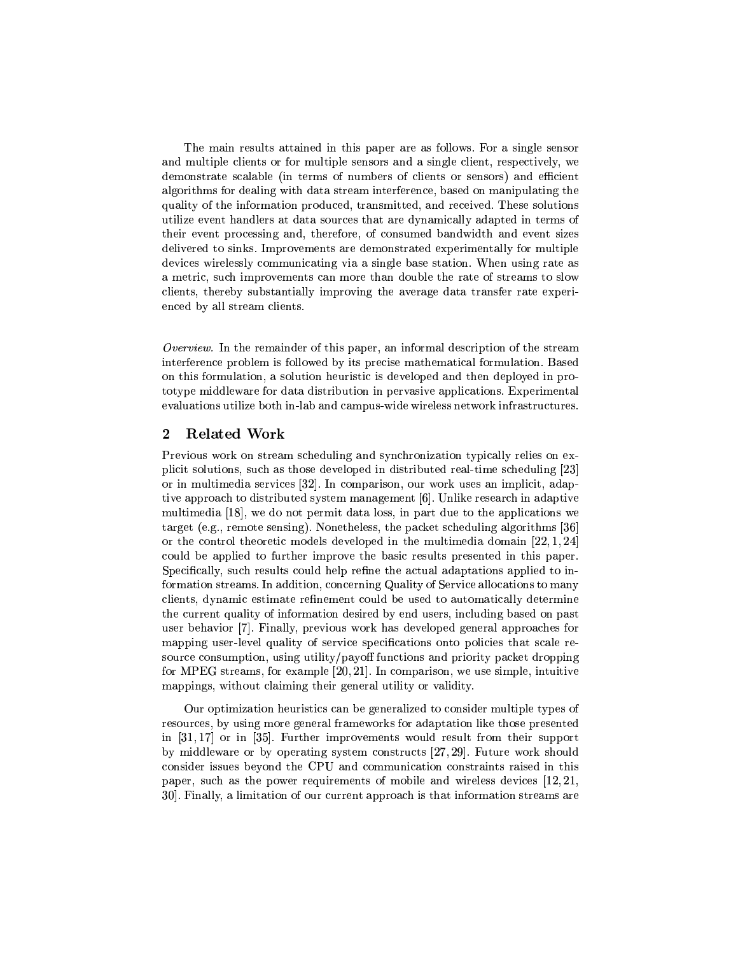The main results attained in this paper are as follows. For a single sensor and multiple clients or for multiple sensors and a single client, respectively, we demonstrate scalable (in terms of numbers of clients or sensors) and efficient algorithms for dealing with data stream interference, based on manipulating the quality of the information produced, transmitted, and received. These solutions utilize event handlers at data sources that are dynamically adapted in terms of their event processing and, therefore, of consumed bandwidth and event sizes delivered to sinks. Improvements are demonstrated experimentally for multiple devices wirelessly communicating via a single base station. When using rate as a metric, such improvements can more than double the rate of streams to slow clients, thereby substantially improving the average data transfer rate experienced by all stream clients.

Overview. In the remainder of this paper, an informal description of the stream interference problem is followed by its precise mathematical formulation. Based on this formulation, a solution heuristic is developed and then deployed in prototype middleware for data distribution in pervasive applications. Experimental evaluations utilize both in-lab and campus-wide wireless network infrastructures.

#### $\overline{2}$ **Related Work**

Previous work on stream scheduling and synchronization typically relies on explicit solutions, such as those developed in distributed real-time scheduling [23] or in multimedia services [32]. In comparison, our work uses an implicit, adaptive approach to distributed system management [6]. Unlike research in adaptive multimedia [18], we do not permit data loss, in part due to the applications we target (e.g., remote sensing). Nonetheless, the packet scheduling algorithms  $[36]$ or the control theoretic models developed in the multimedia domain  $[22, 1, 24]$ could be applied to further improve the basic results presented in this paper. Specifically, such results could help refine the actual adaptations applied to information streams. In addition, concerning Quality of Service allocations to many clients, dynamic estimate refinement could be used to automatically determine the current quality of information desired by end users, including based on past user behavior [7]. Finally, previous work has developed general approaches for mapping user-level quality of service specifications onto policies that scale resource consumption, using utility/payoff functions and priority packet dropping for MPEG streams, for example  $[20, 21]$ . In comparison, we use simple, intuitive mappings, without claiming their general utility or validity.

Our optimization heuristics can be generalized to consider multiple types of resources, by using more general frameworks for adaptation like those presented in  $[31,17]$  or in [35]. Further improvements would result from their support by middleware or by operating system constructs [27, 29]. Future work should consider issues beyond the CPU and communication constraints raised in this paper, such as the power requirements of mobile and wireless devices  $[12, 21, 1]$ 30. Finally, a limitation of our current approach is that information streams are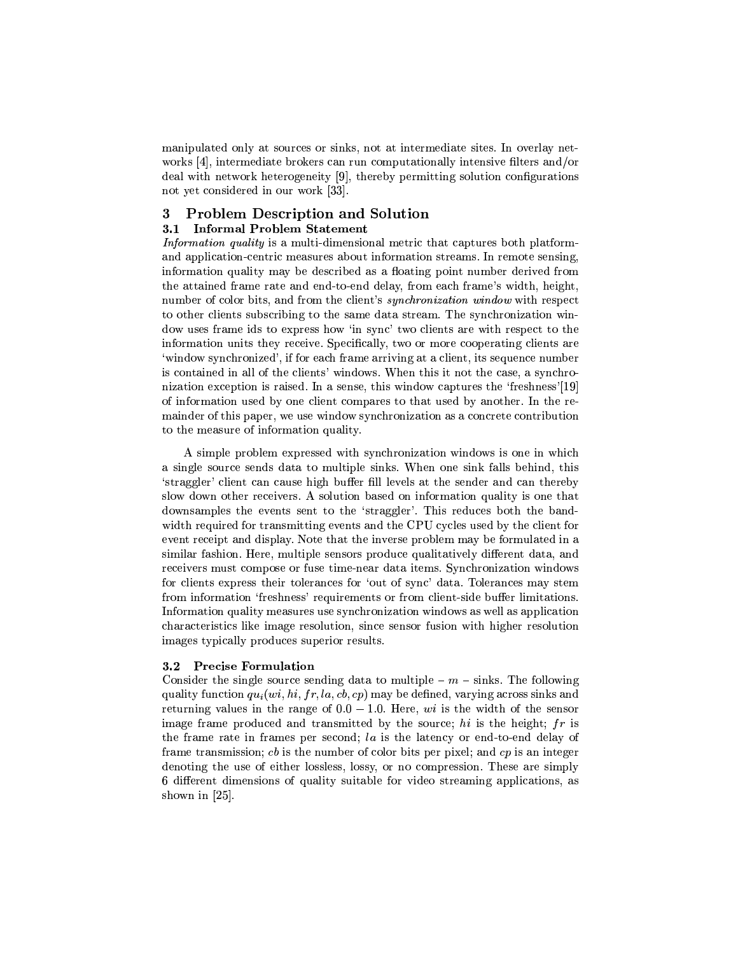manipulated only at sources or sinks, not at intermediate sites. In overlay networks  $[4]$ , intermediate brokers can run computationally intensive filters and/or deal with network heterogeneity [9], thereby permitting solution configurations not yet considered in our work [33].

#### **Problem Description and Solution** 3

### 3.1 Informal Problem Statement

Information quality is a multi-dimensional metric that captures both platformand application-centric measures about information streams. In remote sensing, information quality may be described as a floating point number derived from the attained frame rate and end-to-end delay, from each frame's width, height, number of color bits, and from the client's *sunchronization window* with respect to other clients subscribing to the same data stream. The synchronization window uses frame ids to express how 'in sync' two clients are with respect to the information units they receive. Specifically, two or more cooperating clients are 'window synchronized', if for each frame arriving at a client, its sequence number is contained in all of the clients' windows. When this it not the case, a synchronization exception is raised. In a sense, this window captures the 'freshness'[19] of information used by one client compares to that used by another. In the remainder of this paper, we use window synchronization as a concrete contribution to the measure of information quality.

A simple problem expressed with synchronization windows is one in which a single source sends data to multiple sinks. When one sink falls behind, this 'straggler' client can cause high buffer fill levels at the sender and can thereby slow down other receivers. A solution based on information quality is one that downsamples the events sent to the 'straggler'. This reduces both the bandwidth required for transmitting events and the CPU cycles used by the client for event receipt and display. Note that the inverse problem may be formulated in a similar fashion. Here, multiple sensors produce qualitatively different data, and receivers must compose or fuse time-near data items. Synchronization windows for clients express their tolerances for 'out of sync' data. Tolerances may stem from information 'freshness' requirements or from client-side buffer limitations. Information quality measures use synchronization windows as well as application characteristics like image resolution, since sensor fusion with higher resolution images typically produces superior results.

#### $3.2$ **Precise Formulation**

Consider the single source sending data to multiple  $- m - \text{sinks}$ . The following quality function  $qu_i(w_i, hi, fr, la, cb, cp)$  may be defined, varying across sinks and returning values in the range of  $0.0 - 1.0$ . Here, wi is the width of the sensor image frame produced and transmitted by the source; hi is the height;  $fr$  is the frame rate in frames per second; la is the latency or end-to-end delay of frame transmission;  $cb$  is the number of color bits per pixel; and  $cp$  is an integer denoting the use of either lossless, lossy, or no compression. These are simply 6 different dimensions of quality suitable for video streaming applications, as shown in  $[25]$ .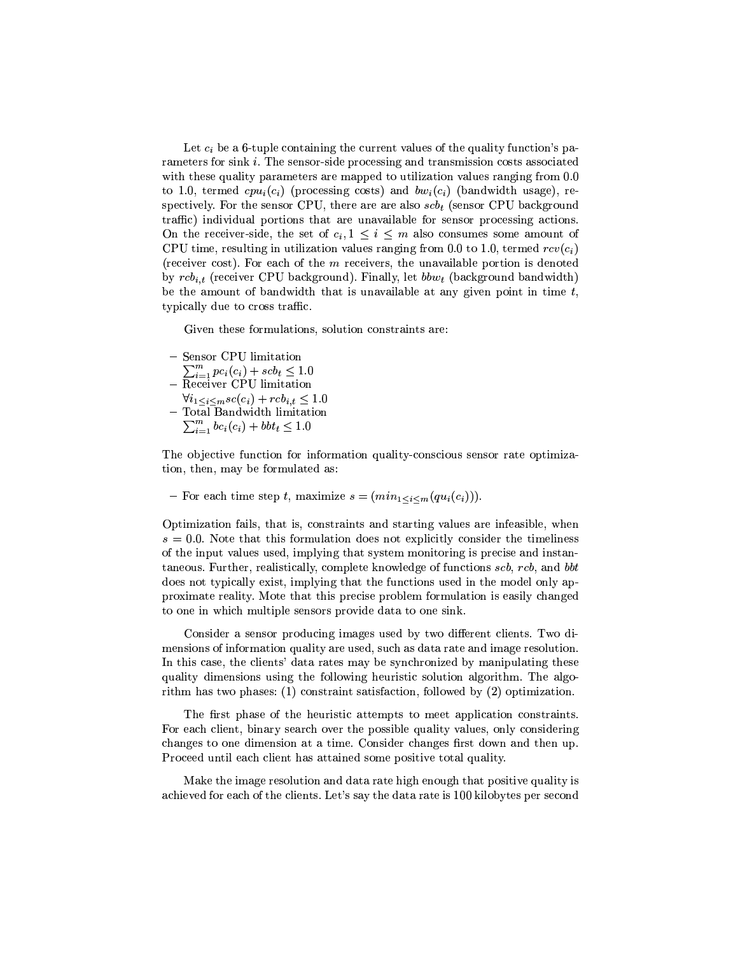Let  $c_i$  be a 6-tuple containing the current values of the quality function's parameters for sink *i*. The sensor-side processing and transmission costs associated with these quality parameters are mapped to utilization values ranging from 0.0 to 1.0, termed  $cpu_i(c_i)$  (processing costs) and  $bw_i(c_i)$  (bandwidth usage), respectively. For the sensor CPU, there are are also  $scb_t$  (sensor CPU background traffic) individual portions that are unavailable for sensor processing actions. On the receiver-side, the set of  $c_i, 1 \leq i \leq m$  also consumes some amount of CPU time, resulting in utilization values ranging from 0.0 to 1.0, termed  $rcv(c_i)$ (receiver cost). For each of the m receivers, the unavailable portion is denoted by  $rcb_{i,t}$  (receiver CPU background). Finally, let  $bbw_t$  (background bandwidth) be the amount of bandwidth that is unavailable at any given point in time  $t$ , typically due to cross traffic.

Given these formulations, solution constraints are:

- Sensor CPU limitation
- $\sum_{i=1}^{m} p c_i(c_i) + scb_t \leq 1.0$  Receiver CPU limitation
- $\forall i_1 \leq i \leq m} sc(c_i) + rcb_{i,t} \leq 1.0$
- Total Bandwidth limitation
- $\sum_{i=1}^{m} bc_i(c_i) + bbt_t \leq 1.0$

The objective function for information quality-conscious sensor rate optimization, then, may be formulated as:

- For each time step t, maximize  $s = (min_{1 \leq i \leq m} (qu_i(c_i))).$ 

Optimization fails, that is, constraints and starting values are infeasible, when  $s = 0.0$ . Note that this formulation does not explicitly consider the timeliness of the input values used, implying that system monitoring is precise and instantaneous. Further, realistically, complete knowledge of functions scb, rcb, and bbt does not typically exist, implying that the functions used in the model only approximate reality. Mote that this precise problem formulation is easily changed to one in which multiple sensors provide data to one sink.

Consider a sensor producing images used by two different clients. Two dimensions of information quality are used, such as data rate and image resolution. In this case, the clients' data rates may be synchronized by manipulating these quality dimensions using the following heuristic solution algorithm. The algorithm has two phases:  $(1)$  constraint satisfaction, followed by  $(2)$  optimization.

The first phase of the heuristic attempts to meet application constraints. For each client, binary search over the possible quality values, only considering changes to one dimension at a time. Consider changes first down and then up. Proceed until each client has attained some positive total quality.

Make the image resolution and data rate high enough that positive quality is achieved for each of the clients. Let's say the data rate is 100 kilobytes per second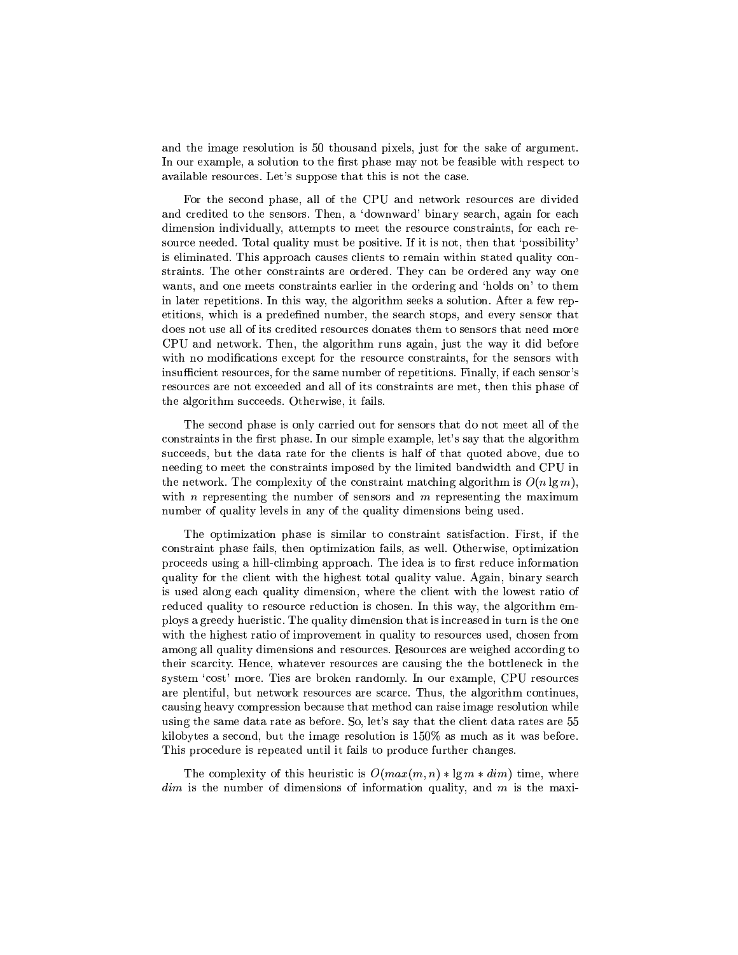and the image resolution is 50 thousand pixels, just for the sake of argument. In our example, a solution to the first phase may not be feasible with respect to available resources. Let's suppose that this is not the case.

For the second phase, all of the CPU and network resources are divided and credited to the sensors. Then, a 'downward' binary search, again for each dimension individually, attempts to meet the resource constraints, for each resource needed. Total quality must be positive. If it is not, then that 'possibility' is eliminated. This approach causes clients to remain within stated quality constraints. The other constraints are ordered. They can be ordered any way one wants, and one meets constraints earlier in the ordering and 'holds on' to them in later repetitions. In this way, the algorithm seeks a solution. After a few repetitions, which is a predefined number, the search stops, and every sensor that does not use all of its credited resources donates them to sensors that need more CPU and network. Then, the algorithm runs again, just the way it did before with no modifications except for the resource constraints, for the sensors with insufficient resources, for the same number of repetitions. Finally, if each sensor's resources are not exceeded and all of its constraints are met, then this phase of the algorithm succeeds. Otherwise, it fails.

The second phase is only carried out for sensors that do not meet all of the constraints in the first phase. In our simple example, let's say that the algorithm succeeds, but the data rate for the clients is half of that quoted above, due to needing to meet the constraints imposed by the limited bandwidth and CPU in the network. The complexity of the constraint matching algorithm is  $O(n \lg m)$ , with *n* representing the number of sensors and *m* representing the maximum number of quality levels in any of the quality dimensions being used.

The optimization phase is similar to constraint satisfaction. First, if the constraint phase fails, then optimization fails, as well. Otherwise, optimization proceeds using a hill-climbing approach. The idea is to first reduce information quality for the client with the highest total quality value. Again, binary search is used along each quality dimension, where the client with the lowest ratio of reduced quality to resource reduction is chosen. In this way, the algorithm employs a greedy hueristic. The quality dimension that is increased in turn is the one with the highest ratio of improvement in quality to resources used, chosen from among all quality dimensions and resources. Resources are weighed according to their scarcity. Hence, whatever resources are causing the the bottleneck in the system 'cost' more. Ties are broken randomly. In our example, CPU resources are plentiful, but network resources are scarce. Thus, the algorithm continues, causing heavy compression because that method can raise image resolution while using the same data rate as before. So, let's say that the client data rates are 55 kilobytes a second, but the image resolution is  $150\%$  as much as it was before. This procedure is repeated until it fails to produce further changes.

The complexity of this heuristic is  $O(max(m, n) * \lg m * dim)$  time, where  $dim$  is the number of dimensions of information quality, and  $m$  is the maxi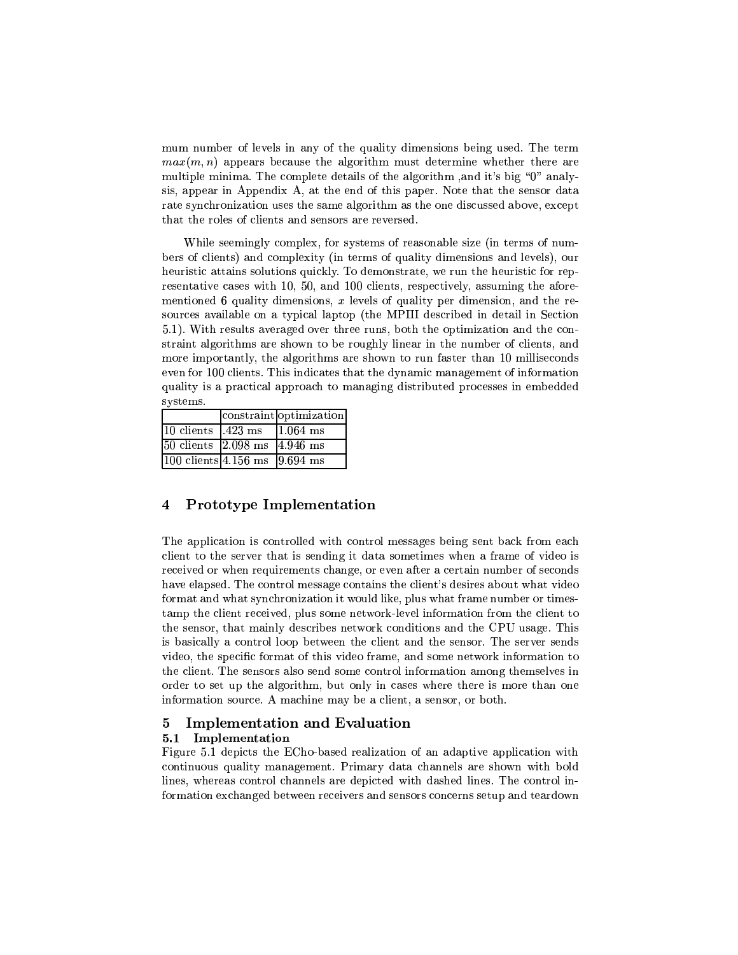mum number of levels in any of the quality dimensions being used. The term  $max(m, n)$  appears because the algorithm must determine whether there are multiple minima. The complete details of the algorithm, and it's big "0" analysis, appear in Appendix A, at the end of this paper. Note that the sensor data rate synchronization uses the same algorithm as the one discussed above, except that the roles of clients and sensors are reversed.

While seemingly complex, for systems of reasonable size (in terms of numbers of clients) and complexity (in terms of quality dimensions and levels), our heuristic attains solutions quickly. To demonstrate, we run the heuristic for representative cases with 10, 50, and 100 clients, respectively, assuming the aforementioned 6 quality dimensions,  $x$  levels of quality per dimension, and the resources available on a typical laptop (the MPIII described in detail in Section 5.1). With results averaged over three runs, both the optimization and the constraint algorithms are shown to be roughly linear in the number of clients, and more importantly, the algorithms are shown to run faster than 10 milliseconds even for 100 clients. This indicates that the dynamic management of information quality is a practical approach to managing distributed processes in embedded systems.

|                                                    | constraint optimization |
|----------------------------------------------------|-------------------------|
| $10 \text{ clients}$ $.423 \text{ ms}$             | $1.064$ ms              |
| $ 50 \text{ clients}   2.098 \text{ ms}$           | $4.946$ ms              |
| $ 100 \text{ clients} 4.156 \text{ ms}$   9.694 ms |                         |

#### Prototype Implementation 4

The application is controlled with control messages being sent back from each client to the server that is sending it data sometimes when a frame of video is received or when requirements change, or even after a certain number of seconds have elapsed. The control message contains the client's desires about what video format and what synchronization it would like, plus what frame number or timestamp the client received, plus some network-level information from the client to the sensor, that mainly describes network conditions and the CPU usage. This is basically a control loop between the client and the sensor. The server sends video, the specific format of this video frame, and some network information to the client. The sensors also send some control information among themselves in order to set up the algorithm, but only in cases where there is more than one information source. A machine may be a client, a sensor, or both.

#### $\overline{5}$ **Implementation and Evaluation**

### 5.1 Implementation

Figure 5.1 depicts the ECho-based realization of an adaptive application with continuous quality management. Primary data channels are shown with bold lines, whereas control channels are depicted with dashed lines. The control information exchanged between receivers and sensors concerns setup and teardown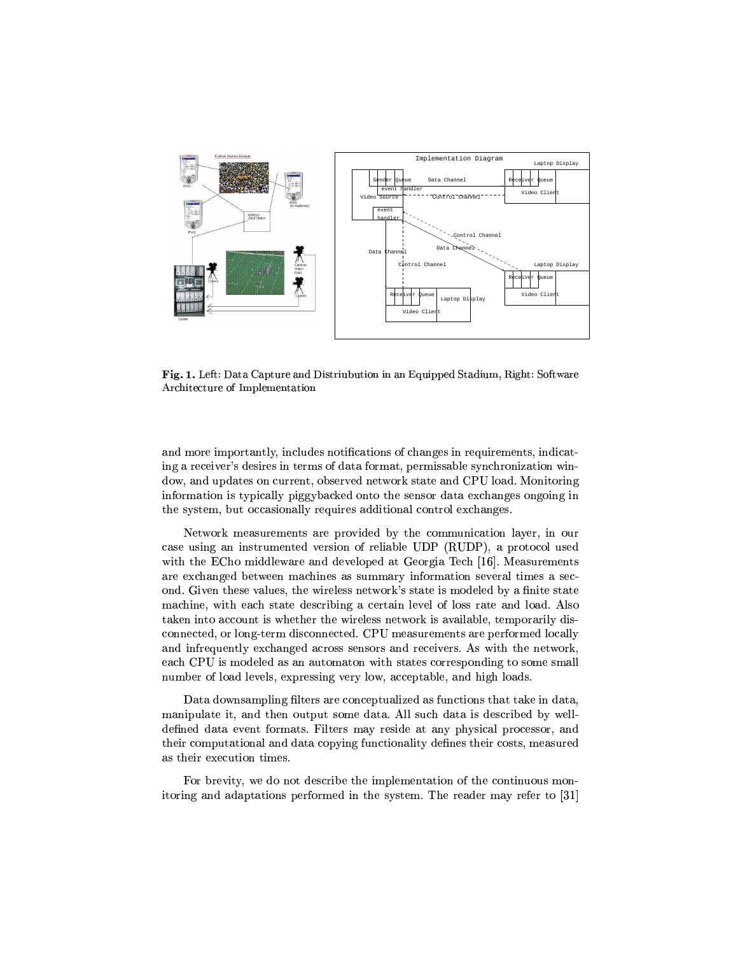

Fig. 1. Left: Data Capture and Distriubution in an Equipped Stadium, Right: Software Architecture of Implementation

and more importantly, includes notifications of changes in requirements, indicating a receiver's desires in terms of data format, permissable synchronization window, and updates on current, observed network state and CPU load. Monitoring information is typically piggybacked onto the sensor data exchanges ongoing in the system, but occasionally requires additional control exchanges.

Network measurements are provided by the communication layer, in our case using an instrumented version of reliable UDP (RUDP), a protocol used with the ECho middleware and developed at Georgia Tech [16]. Measurements are exchanged between machines as summary information several times a second. Given these values, the wireless network's state is modeled by a finite state machine, with each state describing a certain level of loss rate and load. Also taken into account is whether the wireless network is available, temporarily disconnected, or long-term disconnected. CPU measurements are performed locally and infrequently exchanged across sensors and receivers. As with the network, each CPU is modeled as an automaton with states corresponding to some small number of load levels, expressing very low, acceptable, and high loads.

Data downsampling filters are conceptualized as functions that take in data. manipulate it, and then output some data. All such data is described by welldefined data event formats. Filters may reside at any physical processor, and their computational and data copying functionality defines their costs, measured as their execution times.

For brevity, we do not describe the implementation of the continuous monitoring and adaptations performed in the system. The reader may refer to [31]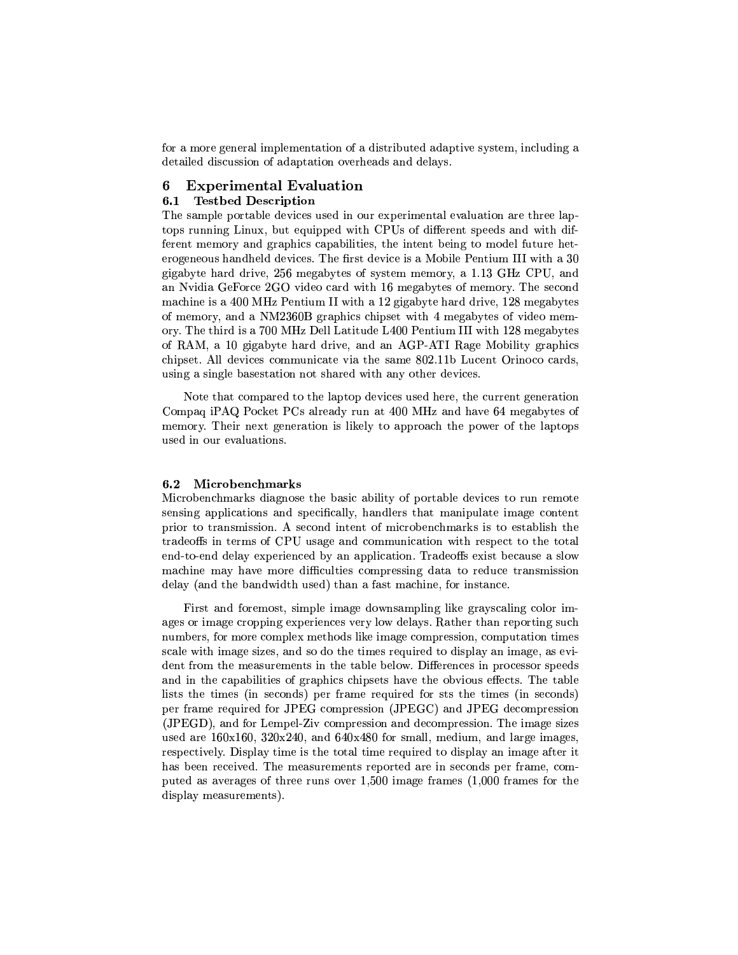for a more general implementation of a distributed adaptive system, including a detailed discussion of adaptation overheads and delays.

#### **Experimental Evaluation** 6

#### **Testbed Description**  $6.1$

The sample portable devices used in our experimental evaluation are three laptops running Linux, but equipped with CPUs of different speeds and with different memory and graphics capabilities, the intent being to model future heterogeneous handheld devices. The first device is a Mobile Pentium III with a 30 gigabyte hard drive, 256 megabytes of system memory, a 1.13 GHz CPU, and an Nyidia GeForce 2GO video card with 16 megabytes of memory. The second machine is a 400 MHz Pentium II with a 12 gigabyte hard drive, 128 megabytes of memory, and a NM2360B graphics chipset with 4 megabytes of video memory. The third is a 700 MHz Dell Latitude L400 Pentium III with 128 megabytes of RAM, a 10 gigabyte hard drive, and an AGP-ATI Rage Mobility graphics chipset. All devices communicate via the same 802.11b Lucent Orinoco cards, using a single basestation not shared with any other devices.

Note that compared to the laptop devices used here, the current generation Compaq iPAQ Pocket PCs already run at 400 MHz and have 64 megabytes of memory. Their next generation is likely to approach the power of the laptops used in our evaluations.

#### Microbenchmarks  $6.2$

Microbenchmarks diagnose the basic ability of portable devices to run remote sensing applications and specifically, handlers that manipulate image content prior to transmission. A second intent of microbenchmarks is to establish the tradeoffs in terms of CPU usage and communication with respect to the total end-to-end delay experienced by an application. Tradeoffs exist because a slow machine may have more difficulties compressing data to reduce transmission delay (and the bandwidth used) than a fast machine, for instance.

First and foremost, simple image downsampling like graviscaling color images or image cropping experiences very low delays. Rather than reporting such numbers, for more complex methods like image compression, computation times scale with image sizes, and so do the times required to display an image, as evident from the measurements in the table below. Differences in processor speeds and in the capabilities of graphics chipsets have the obvious effects. The table lists the times (in seconds) per frame required for sts the times (in seconds) per frame required for JPEG compression (JPEGC) and JPEG decompression (JPEGD), and for Lempel-Ziv compression and decompression. The image sizes used are  $160x160$ ,  $320x240$ , and  $640x480$  for small, medium, and large images, respectively. Display time is the total time required to display an image after it has been received. The measurements reported are in seconds per frame, computed as averages of three runs over  $1,500$  image frames  $(1,000)$  frames for the display measurements).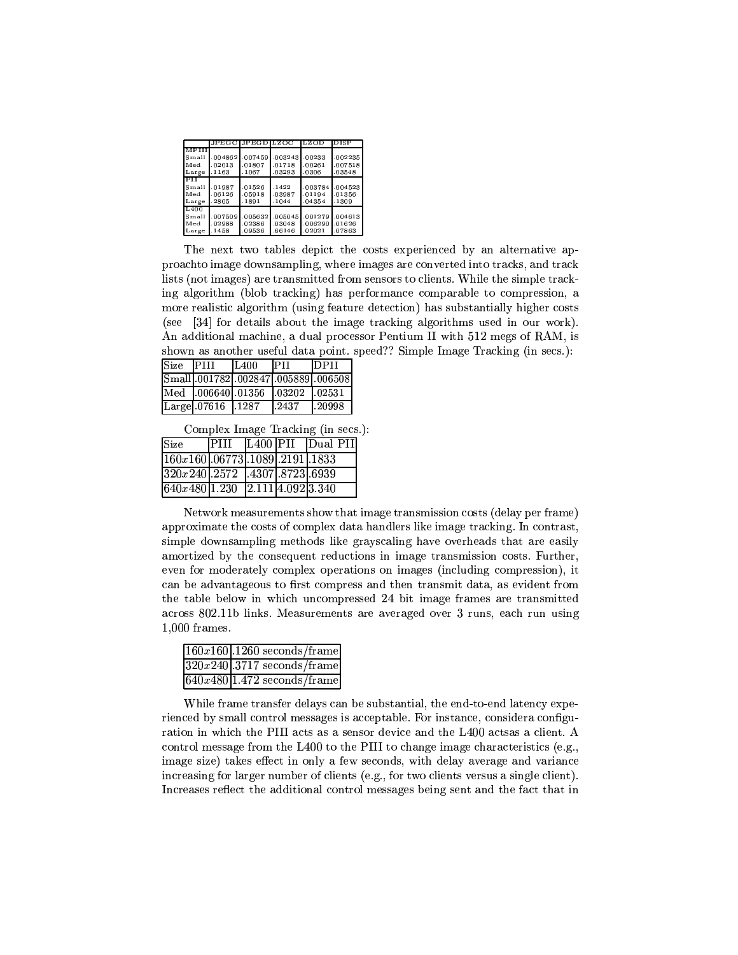|              |         | JPEGC JPEGD LZOC |         | LZOD    | <b>IDISP</b> |
|--------------|---------|------------------|---------|---------|--------------|
| <b>MPTII</b> |         |                  |         |         |              |
| Small        | .004862 | .007459          | .003243 | .00233  | .002235      |
| Med          | .02013  | .01807           | .01718  | .00261  | .007518      |
| Large        | 1163    | .1067            | .03293  | .0306   | .03548       |
| । ਜ          |         |                  |         |         |              |
| Small        | .01987  | .01526           | .1422   | .003784 | .004523      |
| Med          | .06126  | .05918           | .03987  | .01194  | .01356       |
| Large        | .2805   | .1891            | .1044   | .04354  | .1309        |
| L400         |         |                  |         |         |              |
| Small        | .007509 | .005632          | .005045 | .001279 | .004613      |
| Med          | .02988  | .02386           | .03048  | .006290 | .01626       |
| Large        | .1458   | .09536           | .66146  | .02021  | .07863       |

The next two tables depict the costs experienced by an alternative approachto image downsampling, where images are converted into tracks, and track lists (not images) are transmitted from sensors to clients. While the simple tracking algorithm (blob tracking) has performance comparable to compression, a more realistic algorithm (using feature detection) has substantially higher costs (see [34] for details about the image tracking algorithms used in our work). An additional machine, a dual processor Pentium II with 512 megs of RAM, is shown as another useful data point. speed?? Simple Image Tracking (in secs.):

| Size PIII |                                          | IL400  | <b>IPH</b> | <b>IDPII</b>                      |
|-----------|------------------------------------------|--------|------------|-----------------------------------|
|           |                                          |        |            | Small 001782 002847 005889 006508 |
|           | Med 006640 01356                         |        | 1.03202    | 1.02531                           |
|           | $\lfloor$ Large $\lfloor .07616 \rfloor$ | 1.1287 | .2437      | 1.20998                           |

Complex Image Tracking (in secs.):

| Size                                   |  | $\text{PIII}$ [L400   PII   Dual PII] |
|----------------------------------------|--|---------------------------------------|
| $\boxed{160x160.06773.1089.2191.1833}$ |  |                                       |
| $320x240$ . 2572 . 4307. 8723. 6939    |  |                                       |
| 640x480 1.230 2.111 4.092 3.340        |  |                                       |

Network measurements show that image transmission costs (delay per frame) approximate the costs of complex data handlers like image tracking. In contrast, simple downsampling methods like grayscaling have overheads that are easily amortized by the consequent reductions in image transmission costs. Further, even for moderately complex operations on images (including compression), it can be advantageous to first compress and then transmit data, as evident from the table below in which uncompressed 24 bit image frames are transmitted across 802.11b links. Measurements are averaged over 3 runs, each run using  $1,000$  frames.

| $\sqrt{160x160}$ .1260 seconds/frame     |
|------------------------------------------|
| $320x240$ .3717 seconds/frame            |
| $640x480$ <sup>1.472</sup> seconds/frame |

While frame transfer delays can be substantial, the end-to-end latency experienced by small control messages is acceptable. For instance, considera configuration in which the PIII acts as a sensor device and the L400 acts a client. A control message from the L400 to the PIII to change image characteristics (e.g., image size) takes effect in only a few seconds, with delay average and variance increasing for larger number of clients (e.g., for two clients versus a single client). Increases reflect the additional control messages being sent and the fact that in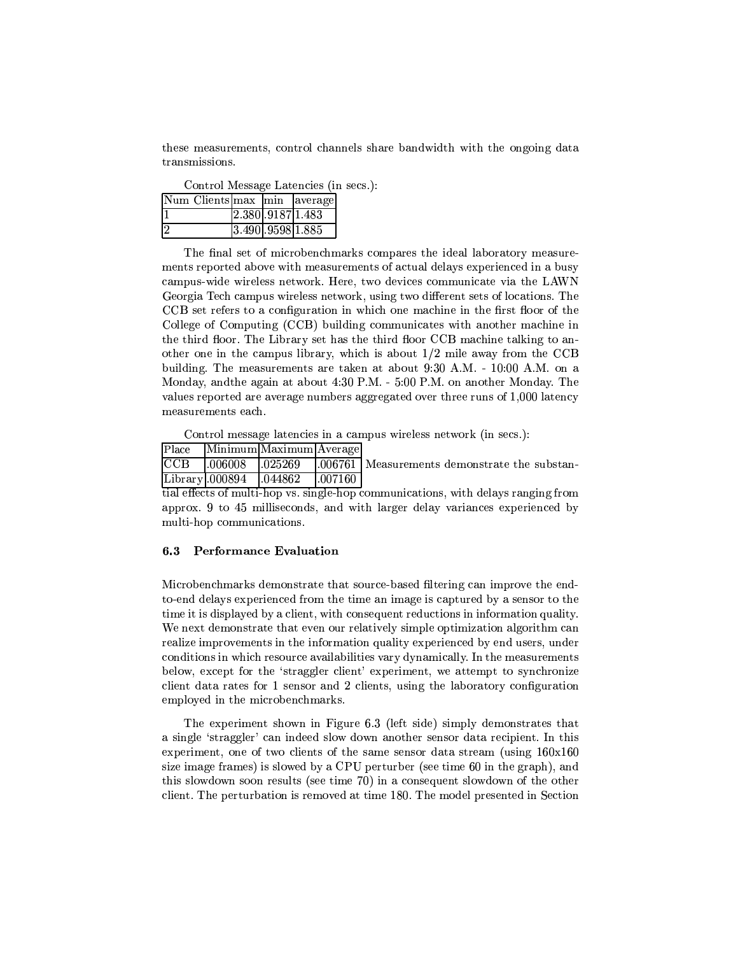these measurements, control channels share bandwidth with the ongoing data transmissions.

Control Message Latencies (in secs.):

| Num Clients max   min   average |                                 |  |
|---------------------------------|---------------------------------|--|
|                                 | $\boxed{2.380 \cdot 91871.483}$ |  |
| 2                               | 3.490.95981.885                 |  |

The final set of microbenchmarks compares the ideal laboratory measurements reported above with measurements of actual delays experienced in a busy campus-wide wireless network. Here, two devices communicate via the LAWN Georgia Tech campus wireless network, using two different sets of locations. The CCB set refers to a configuration in which one machine in the first floor of the College of Computing (CCB) building communicates with another machine in the third floor. The Library set has the third floor CCB machine talking to another one in the campus library, which is about  $1/2$  mile away from the CCB building. The measurements are taken at about 9:30 A.M. - 10:00 A.M. on a Monday, and the again at about 4:30 P.M. - 5:00 P.M. on another Monday. The values reported are average numbers aggregated over three runs of 1,000 latency measurements each.

Control message latencies in a campus wireless network (in secs.):

| Place |  | Minimum Maximum Average |  |  |
|-------|--|-------------------------|--|--|
|-------|--|-------------------------|--|--|

 $CCB$  $.006008$ 025269 006761 | Measurements demonstrate the substan-Library.000894 .044862 .007160

tial effects of multi-hop vs. single-hop communications, with delays ranging from approx. 9 to 45 milliseconds, and with larger delay variances experienced by multi-hop communications.

#### $6.3$ **Performance Evaluation**

Microbenchmarks demonstrate that source-based filtering can improve the endto-end delays experienced from the time an image is captured by a sensor to the time it is displayed by a client, with consequent reductions in information quality. We next demonstrate that even our relatively simple optimization algorithm can realize improvements in the information quality experienced by end users, under conditions in which resource availabilities vary dynamically. In the measurements below, except for the 'straggler client' experiment, we attempt to synchronize client data rates for 1 sensor and 2 clients, using the laboratory configuration employed in the microbenchmarks.

The experiment shown in Figure 6.3 (left side) simply demonstrates that a single 'straggler' can indeed slow down another sensor data recipient. In this experiment, one of two clients of the same sensor data stream (using  $160 \times 160$ size image frames) is slowed by a CPU perturber (see time 60 in the graph), and this slowdown soon results (see time 70) in a consequent slowdown of the other client. The perturbation is removed at time 180. The model presented in Section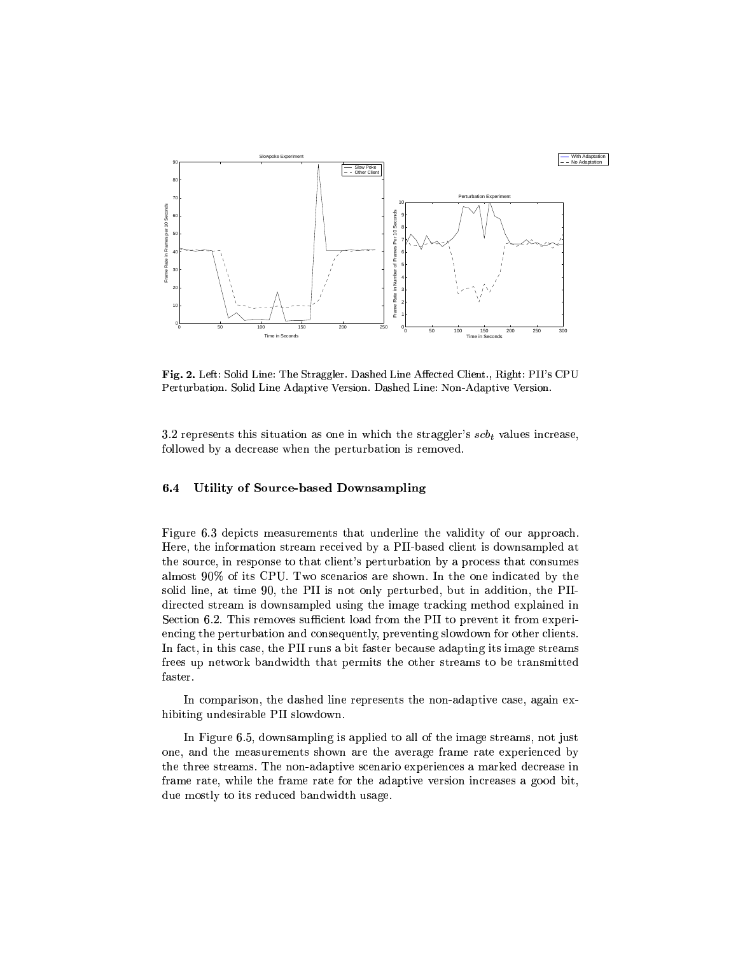

Fig. 2. Left: Solid Line: The Straggler. Dashed Line Affected Client., Right: PII's CPU Perturbation. Solid Line Adaptive Version. Dashed Line: Non-Adaptive Version.

3.2 represents this situation as one in which the straggler's  $scb<sub>t</sub>$  values increase, followed by a decrease when the perturbation is removed.

#### 6.4 Utility of Source-based Downsampling

Figure 6.3 depicts measurements that underline the validity of our approach. Here, the information stream received by a PII-based client is downsampled at the source, in response to that client's perturbation by a process that consumes almost 90% of its CPU. Two scenarios are shown. In the one indicated by the solid line, at time 90, the PII is not only perturbed, but in addition, the PIIdirected stream is downsampled using the image tracking method explained in Section 6.2. This removes sufficient load from the PII to prevent it from experiencing the perturbation and consequently, preventing slowdown for other clients. In fact, in this case, the PII runs a bit faster because adapting its image streams frees up network bandwidth that permits the other streams to be transmitted faster.

In comparison, the dashed line represents the non-adaptive case, again exhibiting undesirable PII slowdown.

In Figure 6.5, downsampling is applied to all of the image streams, not just one, and the measurements shown are the average frame rate experienced by the three streams. The non-adaptive scenario experiences a marked decrease in frame rate, while the frame rate for the adaptive version increases a good bit, due mostly to its reduced bandwidth usage.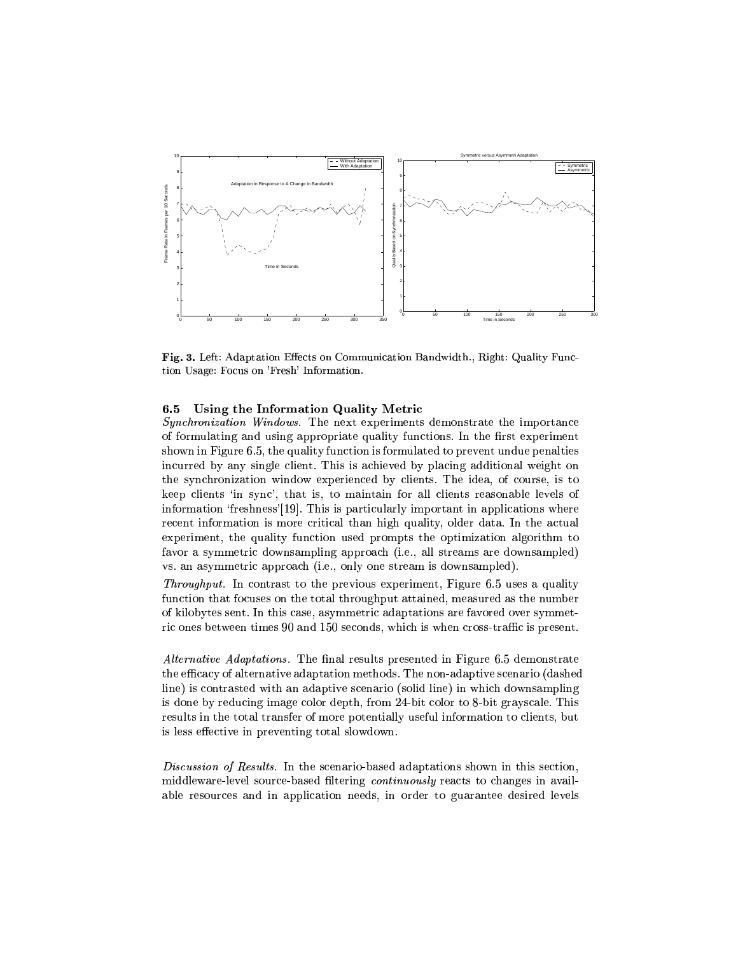

Fig. 3. Left: Adaptation Effects on Communication Bandwidth., Right: Quality Function Usage: Focus on 'Fresh' Information.

#### Using the Information Quality Metric 6.5

Synchronization Windows. The next experiments demonstrate the importance of formulating and using appropriate quality functions. In the first experiment shown in Figure 6.5, the quality function is formulated to prevent undue penalties incurred by any single client. This is achieved by placing additional weight on the synchronization window experienced by clients. The idea, of course, is to keep clients 'in sync', that is, to maintain for all clients reasonable levels of information 'freshness'[19]. This is particularly important in applications where recent information is more critical than high quality, older data. In the actual experiment, the quality function used prompts the optimization algorithm to favor a symmetric downsampling approach (i.e., all streams are downsampled) vs. an asymmetric approach (i.e., only one stream is downsampled).

*Throughput.* In contrast to the previous experiment, Figure 6.5 uses a quality function that focuses on the total throughput attained, measured as the number of kilobytes sent. In this case, asymmetric adaptations are favored over symmetric ones between times 90 and 150 seconds, which is when cross-traffic is present.

*Alternative Adaptations.* The final results presented in Figure 6.5 demonstrate the efficacy of alternative adaptation methods. The non-adaptive scenario (dashed line) is contrasted with an adaptive scenario (solid line) in which downsampling is done by reducing image color depth, from 24-bit color to 8-bit grayscale. This results in the total transfer of more potentially useful information to clients, but is less effective in preventing total slowdown.

*Discussion of Results.* In the scenario-based adaptations shown in this section, middleware-level source-based filtering continuously reacts to changes in available resources and in application needs, in order to guarantee desired levels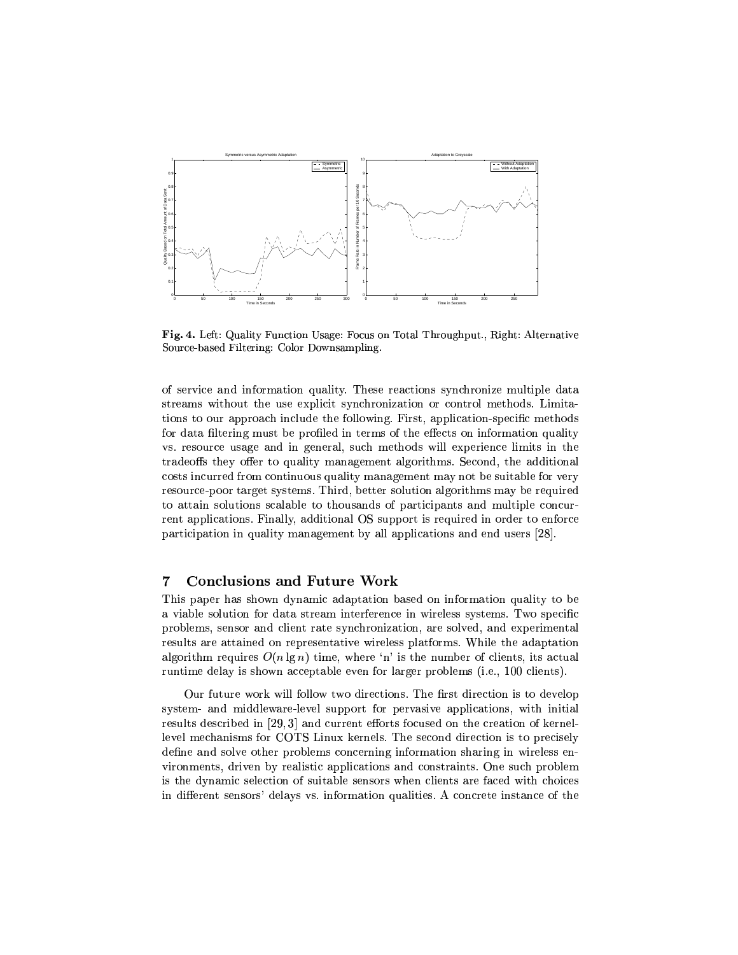

Fig. 4. Left: Quality Function Usage: Focus on Total Throughput., Right: Alternative Source-based Filtering: Color Downsampling.

of service and information quality. These reactions synchronize multiple data streams without the use explicit synchronization or control methods. Limitations to our approach include the following. First, application-specific methods for data filtering must be profiled in terms of the effects on information quality vs. resource usage and in general, such methods will experience limits in the tradeoffs they offer to quality management algorithms. Second, the additional costs incurred from continuous quality management may not be suitable for very resource-poor target systems. Third, better solution algorithms may be required to attain solutions scalable to thousands of participants and multiple concurrent applications. Finally, additional OS support is required in order to enforce participation in quality management by all applications and end users [28].

#### $\overline{7}$ **Conclusions and Future Work**

This paper has shown dynamic adaptation based on information quality to be a viable solution for data stream interference in wireless systems. Two specific problems, sensor and client rate synchronization, are solved, and experimental results are attained on representative wireless platforms. While the adaptation algorithm requires  $O(n \lg n)$  time, where 'n' is the number of clients, its actual runtime delay is shown acceptable even for larger problems (i.e., 100 clients).

Our future work will follow two directions. The first direction is to develop system- and middleware-level support for pervasive applications, with initial results described in [29,3] and current efforts focused on the creation of kernellevel mechanisms for COTS Linux kernels. The second direction is to precisely define and solve other problems concerning information sharing in wireless environments, driven by realistic applications and constraints. One such problem is the dynamic selection of suitable sensors when clients are faced with choices in different sensors' delays vs. information qualities. A concrete instance of the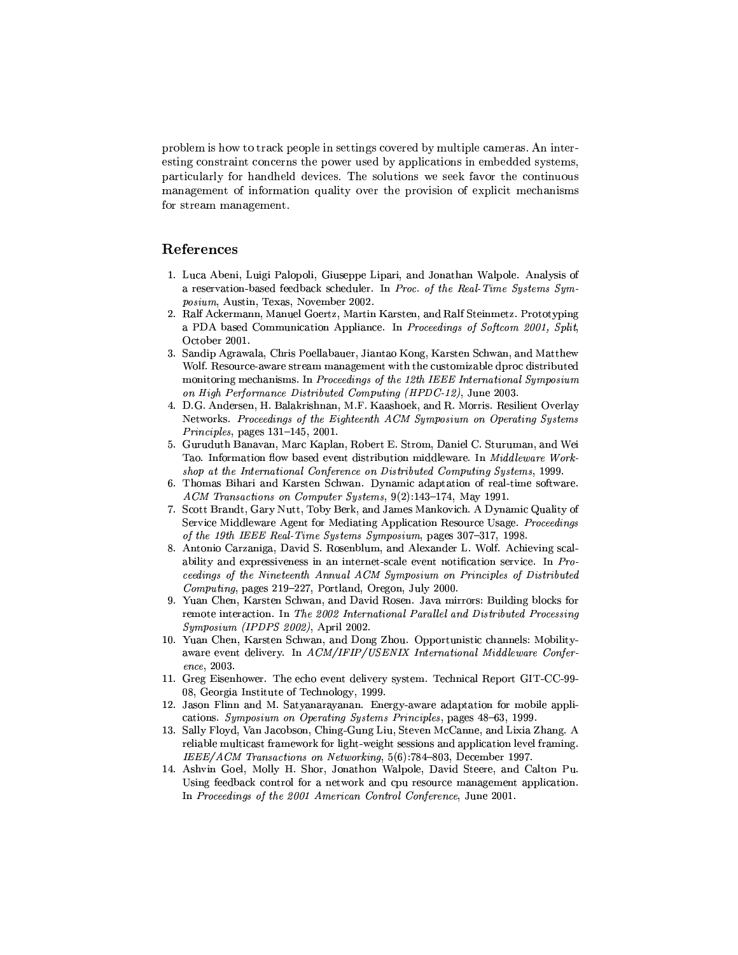problem is how to track people in settings covered by multiple cameras. An interesting constraint concerns the power used by applications in embedded systems, particularly for handheld devices. The solutions we seek favor the continuous management of information quality over the provision of explicit mechanisms for stream management.

## References

- 1. Luca Abeni, Luigi Palopoli, Giuseppe Lipari, and Jonathan Walpole. Analysis of a reservation-based feedback scheduler. In Proc. of the Real-Time Systems Symposium, Austin, Texas, November 2002.
- 2. Ralf Ackermann, Manuel Goertz, Martin Karsten, and Ralf Steinmetz. Prototyping a PDA based Communication Appliance. In Proceedings of Softcom 2001, Split, October 2001.
- 3. Sandip Agrawala, Chris Poellabauer, Jiantao Kong, Karsten Schwan, and Matthew Wolf. Resource-aware stream management with the customizable dproc distributed monitoring mechanisms. In Proceedings of the 12th IEEE International Symposium on High Performance Distributed Computing (HPDC-12), June 2003.
- 4. D.G. Andersen, H. Balakrishnan, M.F. Kaashoek, and R. Morris. Resilient Overlay Networks. Proceedings of the Eighteenth ACM Symposium on Operating Systems  $Principles, pages 131–145, 2001.$
- 5. Guruduth Banavan, Marc Kaplan, Robert E. Strom, Daniel C. Sturuman, and Wei Tao. Information flow based event distribution middleware. In Middleware Workshop at the International Conference on Distributed Computing Systems, 1999.
- Thomas Bihari and Karsten Schwan. Dynamic adaptation of real-time software. 6. ACM Transactions on Computer Systems, 9(2):143-174, May 1991.
- 7. Scott Brandt, Gary Nutt, Toby Berk, and James Mankovich. A Dynamic Quality of Service Middleware Agent for Mediating Application Resource Usage. Proceedings of the 19th IEEE Real-Time Systems Symposium, pages 307-317, 1998.
- 8. Antonio Carzaniga, David S. Rosenblum, and Alexander L. Wolf. Achieving scalability and expressiveness in an internet-scale event notification service. In Proceedings of the Nineteenth Annual ACM Symposium on Principles of Distributed Computing, pages 219-227, Portland, Oregon, July 2000.
- 9. Yuan Chen, Karsten Schwan, and David Rosen. Java mirrors: Building blocks for remote interaction. In The 2002 International Parallel and Distributed Processing Symposium (IPDPS 2002). April 2002.
- 10. Yuan Chen, Karsten Schwan, and Dong Zhou. Opportunistic channels: Mobilityaware event delivery. In ACM/IFIP/USENIX International Middleware Conference. 2003.
- 11. Greg Eisenhower. The echo event delivery system. Technical Report GIT-CC-99-08, Georgia Institute of Technology, 1999.
- 12. Jason Flinn and M. Satyanarayanan. Energy-aware adaptation for mobile applications. Symposium on Operating Systems Principles, pages 48-63, 1999.
- 13. Sally Floyd, Van Jacobson, Ching-Gung Liu, Steven McCanne, and Lixia Zhang. A reliable multicast framework for light-weight sessions and application level framing. IEEE/ACM Transactions on Networking, 5(6):784-803, December 1997.
- 14. Ashvin Goel, Molly H. Shor, Jonathon Walpole, David Steere, and Calton Pu. Using feedback control for a network and cpu resource management application. In Proceedings of the 2001 American Control Conference, June 2001.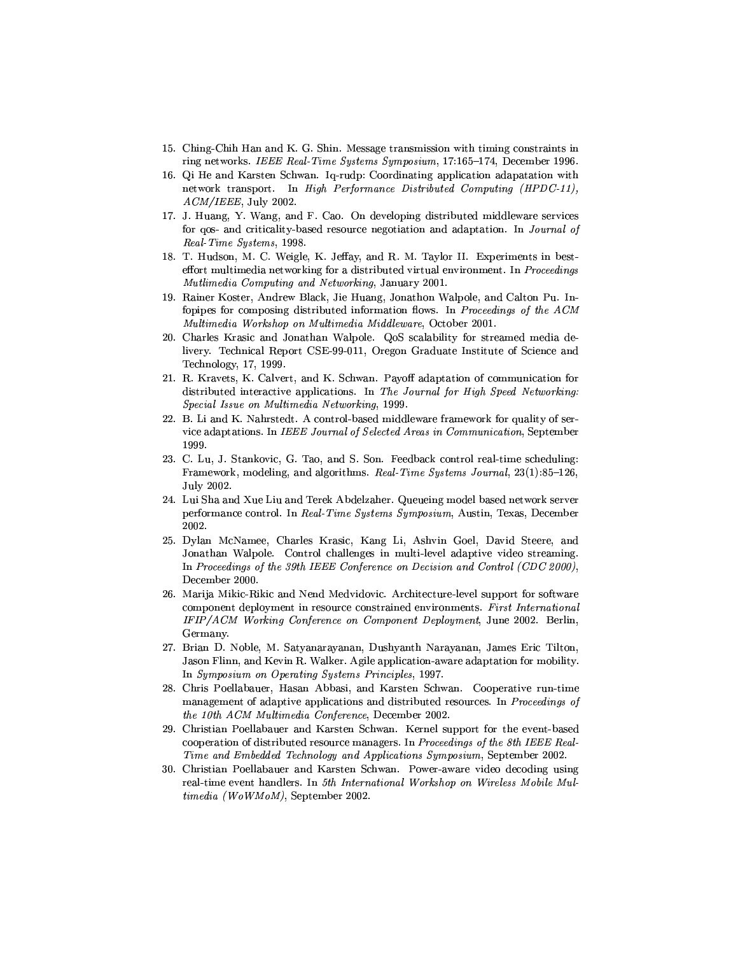- 15. Ching-Chih Han and K. G. Shin. Message transmission with timing constraints in ring networks. IEEE Real-Time Systems Symposium, 17:165-174, December 1996.
- 16. Of He and Karsten Schwan. Iq-rudp: Coordinating application adaptation with network transport. In High Performance Distributed Computing (HPDC-11),  $ACM/IEEE$ , July 2002.
- 17. J. Huang, Y. Wang, and F. Cao. On developing distributed middleware services for gos- and criticality-based resource negotiation and adaptation. In Journal of Real Time Systems, 1998.
- 18. T. Hudson, M. C. Weigle, K. Jeffay, and R. M. Taylor II. Experiments in besteffort multimedia networking for a distributed virtual environment. In Proceedings Mutlimedia Computing and Networking, January 2001.
- 19. Rainer Koster, Andrew Black, Jie Huang, Jonathon Walpole, and Calton Pu. Infopipes for composing distributed information flows. In Proceedings of the ACM Multimedia Workshop on Multimedia Middleware, October 2001.
- 20. Charles Krasic and Jonathan Walpole. QoS scalability for streamed media delivery. Technical Report CSE-99-011, Oregon Graduate Institute of Science and Technology, 17, 1999.
- 21. R. Kravets, K. Calvert, and K. Schwan. Payoff adaptation of communication for distributed interactive applications. In The Journal for High Speed Networking: Special Issue on Multimedia Networking, 1999.
- 22. B. Li and K. Nahrstedt. A control-based middleware framework for quality of service adaptations. In IEEE Journal of Selected Areas in Communication, September 1999.
- 23. C. Lu, J. Stankovic, G. Tao, and S. Son. Feedback control real-time scheduling: Framework, modeling, and algorithms. Real-Time Systems Journal, 23(1):85-126, July 2002.
- 24. Lui Sha and Xue Liu and Terek Abdelzaher. Queueing model based network server performance control. In Real-Time Systems Symposium, Austin, Texas, December 2002.
- 25. Dylan McNamee, Charles Krasic, Kang Li, Ashvin Goel, David Steere, and Jonathan Walpole. Control challenges in multi-level adaptive video streaming. In Proceedings of the 39th IEEE Conference on Decision and Control (CDC 2000), December 2000.
- 26. Marija Mikic-Rikic and Nend Medvidovic. Architecture-level support for software component deployment in resource constrained environments. First International IFIP/ACM Working Conference on Component Deployment, June 2002. Berlin, Germany.
- 27. Brian D. Noble, M. Satyanarayanan, Dushyanth Narayanan, James Eric Tilton. Jason Flinn, and Kevin R. Walker. Agile application-aware adaptation for mobility. In Symposium on Operating Systems Principles, 1997.
- 28. Chris Poellabauer, Hasan Abbasi, and Karsten Schwan. Cooperative run-time management of adaptive applications and distributed resources. In Proceedings of the 10th ACM Multimedia Conference, December 2002.
- 29. Christian Poellabauer and Karsten Schwan. Kernel support for the event-based cooperation of distributed resource managers. In Proceedings of the 8th IEEE Real-Time and Embedded Technology and Applications Symposium, September 2002.
- 30. Christian Poellabauer and Karsten Schwan. Power-aware video decoding using real-time event handlers. In 5th International Workshop on Wireless Mobile Multimedia (WoWMoM), September 2002.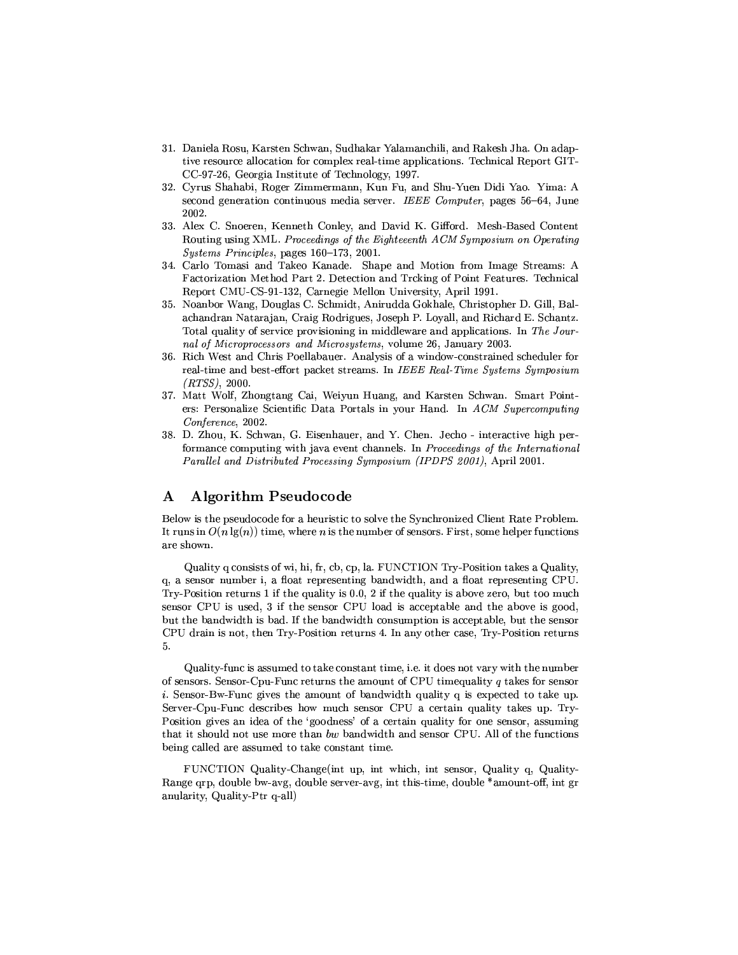- 31. Daniela Rosu, Karsten Schwan, Sudhakar Yalamanchili, and Rakesh Jha. On adaptive resource allocation for complex real-time applications. Technical Report GIT-CC-97-26, Georgia Institute of Technology, 1997.
- 32. Cyrus Shahabi, Roger Zimmermann, Kun Fu, and Shu-Yuen Didi Yao. Yima: A second generation continuous media server. IEEE Computer, pages 56–64, June 2002.
- 33. Alex C. Snoeren, Kenneth Conley, and David K. Gifford. Mesh-Based Content Routing using XML. Proceedings of the Eighteeenth ACM Symposium on Operating Systems Principles, pages 160-173, 2001.
- 34. Carlo Tomasi and Takeo Kanade. Shape and Motion from Image Streams: A Factorization Method Part 2. Detection and Trcking of Point Features. Technical Report CMU-CS-91-132, Carnegie Mellon University, April 1991.
- 35. Noanbor Wang, Douglas C. Schmidt, Anirudda Gokhale, Christopher D. Gill, Balachandran Natarajan, Craig Rodrigues, Joseph P. Loyall, and Richard E. Schantz. Total quality of service provisioning in middleware and applications. In The Journal of Microprocessors and Microsystems, volume 26, January 2003.
- 36. Rich West and Chris Poellabauer. Analysis of a window-constrained scheduler for real-time and best-effort packet streams. In IEEE Real-Time Systems Symposium  $(RTSS)$ , 2000.
- 37. Matt Wolf, Zhongtang Cai, Weiyun Huang, and Karsten Schwan. Smart Pointers: Personalize Scientific Data Portals in your Hand. In ACM Supercomputing Conference, 2002.
- 38. D. Zhou, K. Schwan, G. Eisenhauer, and Y. Chen. Jecho interactive high performance computing with java event channels. In Proceedings of the International Parallel and Distributed Processing Symposium (IPDPS 2001), April 2001.

#### **Algorithm Pseudocode**  $\mathbf A$

Below is the pseudocode for a heuristic to solve the Synchronized Client Rate Problem. It runs in  $O(n \lg(n))$  time, where n is the number of sensors. First, some helper functions are shown.

Quality q consists of wi, hi, fr, cb, cp, la. FUNCTION Try-Position takes a Quality, q, a sensor number i, a float representing bandwidth, and a float representing CPU. Try-Position returns 1 if the quality is 0.0, 2 if the quality is above zero, but too much sensor CPU is used, 3 if the sensor CPU load is acceptable and the above is good, but the bandwidth is bad. If the bandwidth consumption is acceptable, but the sensor CPU drain is not, then Try-Position returns 4. In any other case, Try-Position returns  $5.$ 

Quality-func is assumed to take constant time, i.e. it does not vary with the number of sensors. Sensor-Cpu-Func returns the amount of CPU timequality  $q$  takes for sensor *i*. Sensor-Bw-Func gives the amount of bandwidth quality q is expected to take up. Server-Cpu-Func describes how much sensor CPU a certain quality takes up. Try-Position gives an idea of the 'goodness' of a certain quality for one sensor, assuming that it should not use more than bw bandwidth and sensor CPU. All of the functions being called are assumed to take constant time.

FUNCTION Quality-Change (int up, int which, int sensor, Quality q, Quality-Range grp, double bw-avg, double server-avg, int this-time, double \*amount-off, int gr anularity, Quality-Ptr q-all)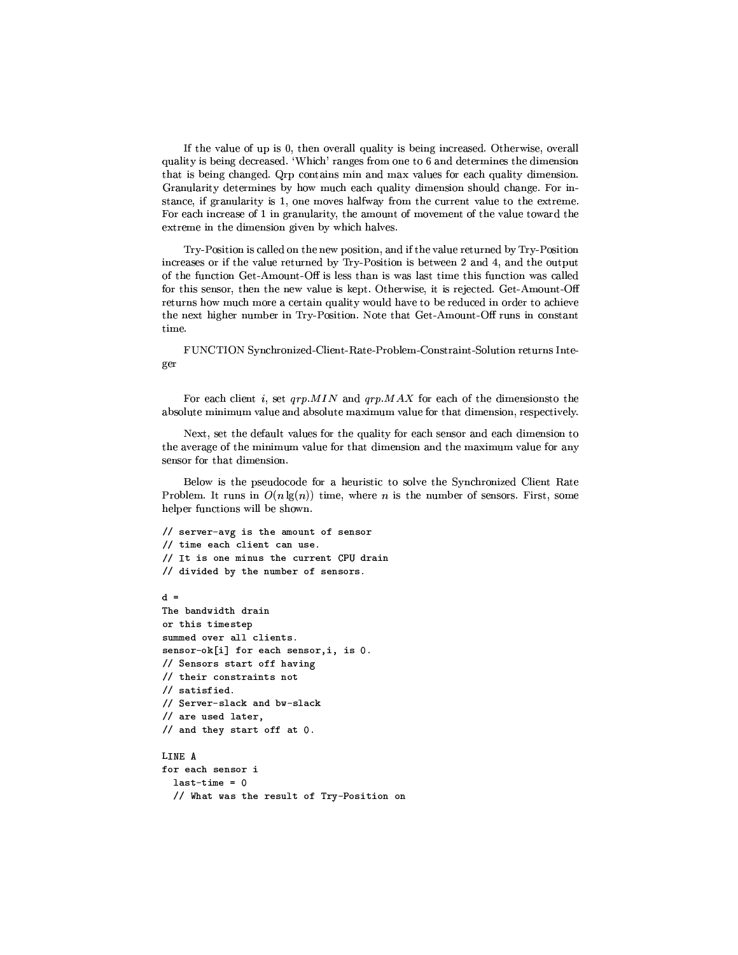If the value of up is 0, then overall quality is being increased. Otherwise, overall quality is being decreased. 'Which' ranges from one to 6 and determines the dimension that is being changed. Qrp contains min and max values for each quality dimension. Granularity determines by how much each quality dimension should change. For instance, if granularity is 1, one moves halfway from the current value to the extreme. For each increase of 1 in granularity, the amount of movement of the value toward the extreme in the dimension given by which halves.

Try-Position is called on the new position, and if the value returned by Try-Position increases or if the value returned by Try-Position is between 2 and 4, and the output of the function Get-Amount-Off is less than is was last time this function was called for this sensor, then the new value is kept. Otherwise, it is rejected. Get-Amount-Off returns how much more a certain quality would have to be reduced in order to achieve the next higher number in Try-Position. Note that Get-Amount-Off runs in constant time.

FUNCTION Synchronized-Client-Rate-Problem-Constraint-Solution returns Integer

For each client  $i$ , set  $qrp. MIN$  and  $qrp. MAX$  for each of the dimensionsto the absolute minimum value and absolute maximum value for that dimension, respectively.

Next, set the default values for the quality for each sensor and each dimension to the average of the minimum value for that dimension and the maximum value for any sensor for that dimension.

Below is the pseudocode for a heuristic to solve the Synchronized Client Rate Problem. It runs in  $O(n \lg(n))$  time, where *n* is the number of sensors. First, some helper functions will be shown.

```
// server-avg is the amount of sensor
// time each client can use.
// It is one minus the current CPU drain
// divided by the number of sensors.
A =
```

```
The bandwidth drain
or this timestep
summed over all clients.
sensor-ok[i] for each sensor, i, is 0.
// Sensors start off having
// their constraints not
// satisfied.
// Server-slack and bw-slack
// are used later,
// and they start off at 0.
I.TNF A
for each sensor i
  last-time = 0
```

```
// What was the result of Try-Position on
```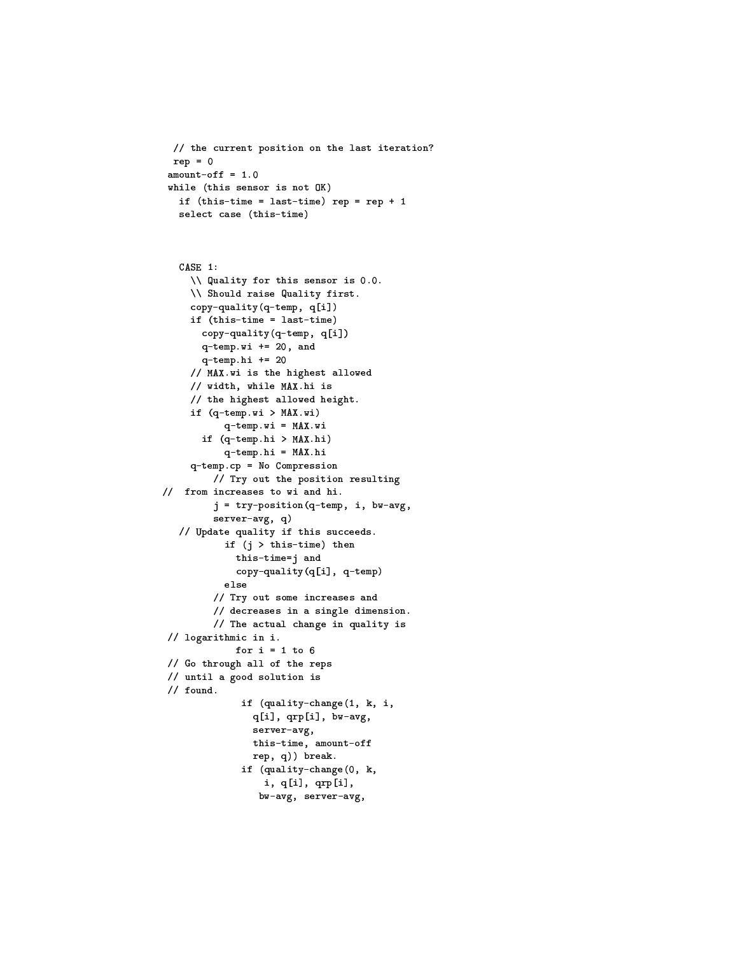```
// the current position on the last iteration?
rep = 0amount-off = 1.0while (this sensor is not OK)
 if (this-time = last-time) rep = rep + 1select case (this-time)
```

```
CASE 1:
     \\ Quality for this sensor is 0.0.
     \\ Should raise Quality first.
     copy-quality(q-temp, q[i])
     if (this-time = last-time)
      copy-quality (q-temp, q[i])
       q-temp.wi += 20, and
       q-temp.hi += 20
     // MAX.wi is the highest allowed
     // width, while MAX.hi is
     // the highest allowed height.
     if (q-temp.wi > MAX.wi)
           q-temp.wi = MAX.wi
       if (q-temp.hi > MAX.hi)
           q-temp.hi = MAX.hi
     q-temp.cp = No Compression
         // Try out the position resulting
// from increases to wi and hi.
         j = try-position(q-temp, i, bw-avg,server-avg, q)
   // Update quality if this succeeds.
           if (j > this-time) then
             this-time=j and
             copy-quality(q[i], q-temp)
           _{\texttt{else}}// Try out some increases and
         // decreases in a single dimension.
         // The actual change in quality is
 // logarithmic in i.
             for i = 1 to 6
// Go through all of the reps
 // until a good solution is
 // found.
              if (quality-change(1, k, i,
                q[i], qrp[i], bw-avg,
                server-avg,
                this-time, amount-off
                rep, q)) break.
              if (quality-change(0, k,
                  i, q[i], qrp[i],
                 bw-avg, server-avg,
```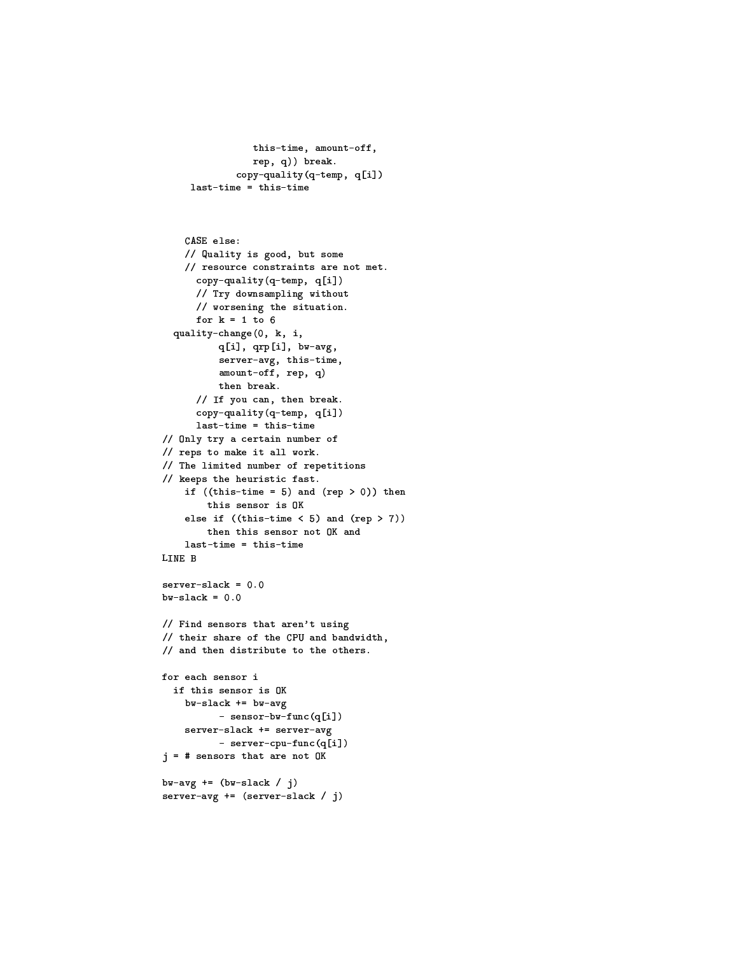```
this-time, amount-off,
           rep, q)) break.
        copy-quality (q-temp, q[i])
last-time = this-time
```

```
CASE else:
    // Quality is good, but some
    // resource constraints are not met.
      copy-quality (q-temp, q[i])
      // Try downsampling without
      // worsening the situation.
      for k = 1 to 6
  quality-change(0, k, i,
          q[i], qrp[i], bw-avg,
          server-avg, this-time,
          amount-off, rep, q)
          then break.
      // If you can, then break.
      copy-quality (q-temp, q[i])
      last-time = this-time// Only try a certain number of
// reps to make it all work.
// The limited number of repetitions
// keeps the heuristic fast.
    if ((this-time = 5) and (rep > 0)) then
        this sensor is OK
    else if ((this-time < 5) and (rep > 7))then this sensor not OK and
    last-time = this-timeLINE B
server - slack = 0.0bw-slack = 0.0
// Find sensors that aren't using
// their share of the CPU and bandwidth,
// and then distribute to the others.
for each sensor i
  if this sensor is OK
    bw-slack += bw-avg
          - sensor-bw-func(q[i])
    server-slack += server-avg
          - server-cpu-func(q[i])
j = # sensors that are not 0Kbw-avg += (bw-slack / j)
server-avg += (server-slack / j)
```